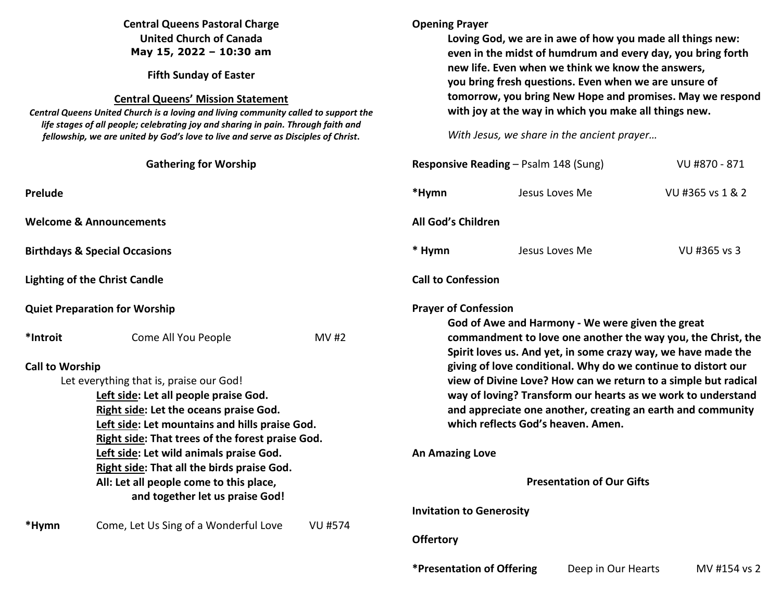## **Central Queens Pastoral Charge United Church of Canada May 15, 2022 – 10:30 am**

**Fifth Sunday of Easter** 

#### **Central Queens' Mission Statement**

 *Central Queens United Church is a loving and living community called to support the life stages of all people; celebrating joy and sharing in pain. Through faith and fellowship, we are united by God's love to live and serve as Disciples of Christ***.** 

| <b>Gathering for Worship</b>                                                                                             |                                                  |                |                                                                                                                                                                                                                                                                | VU #870 - 871<br><b>Responsive Reading - Psalm 148 (Sung)</b>                                                                 |                  |  |
|--------------------------------------------------------------------------------------------------------------------------|--------------------------------------------------|----------------|----------------------------------------------------------------------------------------------------------------------------------------------------------------------------------------------------------------------------------------------------------------|-------------------------------------------------------------------------------------------------------------------------------|------------------|--|
| Prelude                                                                                                                  |                                                  |                | *Hymn                                                                                                                                                                                                                                                          | Jesus Loves Me                                                                                                                | VU #365 vs 1 & 2 |  |
| <b>Welcome &amp; Announcements</b>                                                                                       |                                                  |                | All God's Children                                                                                                                                                                                                                                             |                                                                                                                               |                  |  |
| <b>Birthdays &amp; Special Occasions</b>                                                                                 |                                                  |                | * Hymn                                                                                                                                                                                                                                                         | Jesus Loves Me                                                                                                                | VU #365 vs 3     |  |
| <b>Lighting of the Christ Candle</b>                                                                                     |                                                  |                | <b>Call to Confession</b>                                                                                                                                                                                                                                      |                                                                                                                               |                  |  |
| <b>Quiet Preparation for Worship</b>                                                                                     |                                                  |                | <b>Prayer of Confession</b><br>God of Awe and Harmony - We were given the great                                                                                                                                                                                |                                                                                                                               |                  |  |
| *Introit                                                                                                                 | Come All You People                              | <b>MV#2</b>    |                                                                                                                                                                                                                                                                | commandment to love one another the way you, the Christ, the<br>Spirit loves us. And yet, in some crazy way, we have made the |                  |  |
| <b>Call to Worship</b>                                                                                                   |                                                  |                | giving of love conditional. Why do we continue to distort our<br>view of Divine Love? How can we return to a simple but radical<br>way of loving? Transform our hearts as we work to understand<br>and appreciate one another, creating an earth and community |                                                                                                                               |                  |  |
| Let everything that is, praise our God!                                                                                  |                                                  |                |                                                                                                                                                                                                                                                                |                                                                                                                               |                  |  |
| Left side: Let all people praise God.                                                                                    |                                                  |                |                                                                                                                                                                                                                                                                |                                                                                                                               |                  |  |
| Right side: Let the oceans praise God.                                                                                   |                                                  |                |                                                                                                                                                                                                                                                                |                                                                                                                               |                  |  |
| Left side: Let mountains and hills praise God.                                                                           |                                                  |                | which reflects God's heaven. Amen.                                                                                                                                                                                                                             |                                                                                                                               |                  |  |
|                                                                                                                          | Right side: That trees of the forest praise God. |                |                                                                                                                                                                                                                                                                |                                                                                                                               |                  |  |
| Left side: Let wild animals praise God.                                                                                  |                                                  |                | <b>An Amazing Love</b>                                                                                                                                                                                                                                         |                                                                                                                               |                  |  |
| Right side: That all the birds praise God.<br>All: Let all people come to this place,<br>and together let us praise God! |                                                  |                |                                                                                                                                                                                                                                                                |                                                                                                                               |                  |  |
|                                                                                                                          |                                                  |                | <b>Presentation of Our Gifts</b>                                                                                                                                                                                                                               |                                                                                                                               |                  |  |
|                                                                                                                          |                                                  |                |                                                                                                                                                                                                                                                                |                                                                                                                               |                  |  |
|                                                                                                                          |                                                  |                | <b>Invitation to Generosity</b>                                                                                                                                                                                                                                |                                                                                                                               |                  |  |
| *Hymn                                                                                                                    | Come, Let Us Sing of a Wonderful Love            | <b>VU #574</b> |                                                                                                                                                                                                                                                                |                                                                                                                               |                  |  |
|                                                                                                                          |                                                  |                | <b>Offertory</b>                                                                                                                                                                                                                                               |                                                                                                                               |                  |  |
|                                                                                                                          |                                                  |                | <i><b>*Presentation of Offering</b></i>                                                                                                                                                                                                                        | Deep in Our Hearts                                                                                                            | MV #154 vs 2     |  |

**Opening Prayer** 

 **Loving God, we are in awe of how you made all things new: even in the midst of humdrum and every day, you bring forth** 

**tomorrow, you bring New Hope and promises. May we respond** 

**new life. Even when we think we know the answers, you bring fresh questions. Even when we are unsure of** 

**with joy at the way in which you make all things new.** 

*With Jesus, we share in the ancient prayer…*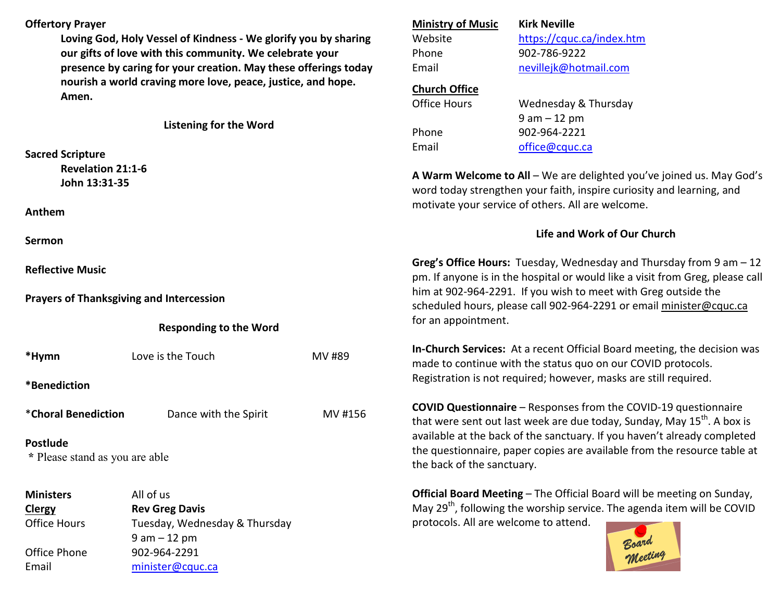### **Offertory Prayer**

**Loving God, Holy Vessel of Kindness - We glorify you by sharing our gifts of love with this community. We celebrate your presence by caring for your creation. May these offerings today nourish a world craving more love, peace, justice, and hope. Amen.** 

**Listening for the Word** 

**Sacred Scripture Revelation 21:1-6** 

 **John 13:31-35** 

**Anthem** 

**Sermon** 

**Reflective Music** 

**Prayers of Thanksgiving and Intercession** 

#### **Responding to the Word**

\*Hymn Love is the Touch MV #89 **\*Benediction** \***Choral Benediction** Dance with the Spirit MV #156**Postlude** 

 **\*** Please stand as you are able

**Ministers** All of us **ClergyClergy Rev Greg Davis**<br>**Office Hours Tuesday**, Wedn Tuesday, Wednesday & Thursday 9 am – 12 pm Office Phone 902-964-2291 Email minister@cquc.ca

# **Ministry of Music Kirk Neville**Website https://cquc.ca/index.htm Phone 902-786-9222 Email nevillejk@hotmail.com **Church Office**Office Hours Wednesday & Thursday 9 am – 12 pm Phone 902-964-2221 Email office@cquc.ca **A Warm Welcome to All** – We are delighted you've joined us. May God's word today strengthen your faith, inspire curiosity and learning, and motivate your service of others. All are welcome. **Life and Work of Our Church**

**Greg's Office Hours:** Tuesday, Wednesday and Thursday from 9 am – 12 pm. If anyone is in the hospital or would like a visit from Greg, please call him at 902-964-2291. If you wish to meet with Greg outside the scheduled hours, please call 902-964-2291 or email minister@cquc.ca for an appointment.

**In-Church Services:** At a recent Official Board meeting, the decision was made to continue with the status quo on our COVID protocols. Registration is not required; however, masks are still required.

**COVID Questionnaire** – Responses from the COVID-19 questionnaire that were sent out last week are due today, Sunday, May  $15^{th}$ . A box is available at the back of the sanctuary. If you haven't already completed the questionnaire, paper copies are available from the resource table at the back of the sanctuary.

**Official Board Meeting** – The Official Board will be meeting on Sunday, May  $29<sup>th</sup>$ , following the worship service. The agenda item will be COVID protocols. All are welcome to attend.

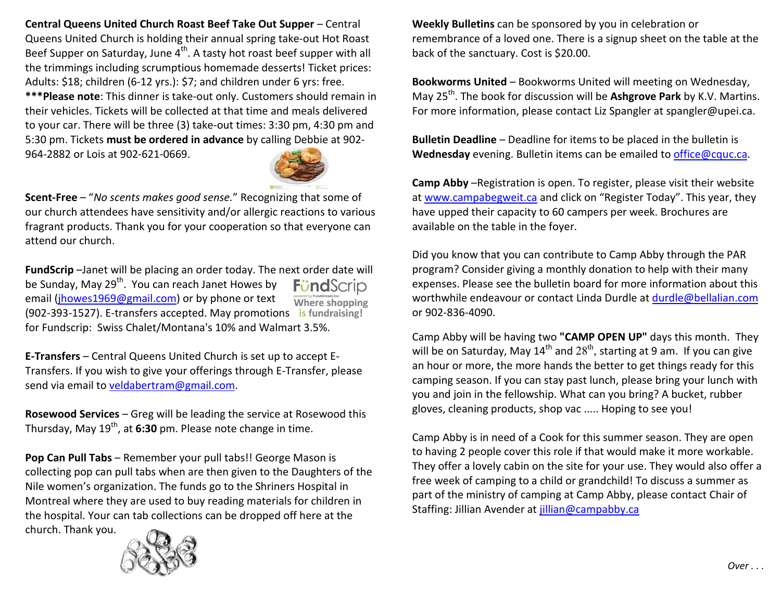**Central Queens United Church Roast Beef Take Out Supper** – Central Queens United Church is holding their annual spring take-out Hot Roast Beef Supper on Saturday, June 4<sup>th</sup>. A tasty hot roast beef supper with all the trimmings including scrumptious homemade desserts! Ticket prices: Adults: \$18; children (6-12 yrs.): \$7; and children under 6 yrs: free. **\*\*\*Please note**: This dinner is take-out only. Customers should remain in their vehicles. Tickets will be collected at that time and meals delivered to your car. There will be three (3) take-out times: 3:30 pm, 4:30 pm and 5:30 pm. Tickets **must be ordered in advance** by calling Debbie at 902-964-2882 or Lois at 902-621-0669.



**Scent-Free** – "*No scents makes good sense.*" Recognizing that some of our church attendees have sensitivity and/or allergic reactions to various fragrant products. Thank you for your cooperation so that everyone can attend our church.

**FundScrip** –Janet will be placing an order today. The next order date will be Sunday, May 29<sup>th</sup>. You can reach Janet Howes by **FündScrip** email (jhowes1969@gmail.com) or by phone or text Where shopping (902-393-1527). E-transfers accepted. May promotions is fundraising! for Fundscrip: Swiss Chalet/Montana's 10% and Walmart 3.5%.

**E-Transfers** – Central Queens United Church is set up to accept E-Transfers. If you wish to give your offerings through E-Transfer, please send via email to veldabertram@gmail.com.

**Rosewood Services** – Greg will be leading the service at Rosewood this Thursday, May 19<sup>th</sup>, at 6:30 pm. Please note change in time.

**Pop Can Pull Tabs** – Remember your pull tabs!! George Mason is collecting pop can pull tabs when are then given to the Daughters of the Nile women's organization. The funds go to the Shriners Hospital in Montreal where they are used to buy reading materials for children in the hospital. Your can tab collections can be dropped off here at the church. Thank you.



**Weekly Bulletins** can be sponsored by you in celebration or remembrance of a loved one. There is a signup sheet on the table at the back of the sanctuary. Cost is \$20.00.

**Bookworms United** – Bookworms United will meeting on Wednesday, May 25th. The book for discussion will be **Ashgrove Park** by K.V. Martins. For more information, please contact Liz Spangler at spangler@upei.ca.

**Bulletin Deadline** – Deadline for items to be placed in the bulletin is **Wednesday** evening. Bulletin items can be emailed to office@cquc.ca.

**Camp Abby** –Registration is open. To register, please visit their website at www.campabegweit.ca and click on "Register Today". This year, they have upped their capacity to 60 campers per week. Brochures are available on the table in the foyer.

Did you know that you can contribute to Camp Abby through the PAR program? Consider giving a monthly donation to help with their many expenses. Please see the bulletin board for more information about this worthwhile endeavour or contact Linda Durdle at durdle@bellalian.com or 902-836-4090.

Camp Abby will be having two **"CAMP OPEN UP"** days this month. They will be on Saturday, May  $14^{th}$  and  $28^{th}$ , starting at 9 am. If you can give an hour or more, the more hands the better to get things ready for this camping season. If you can stay past lunch, please bring your lunch with you and join in the fellowship. What can you bring? A bucket, rubber gloves, cleaning products, shop vac ..... Hoping to see you!

Camp Abby is in need of a Cook for this summer season. They are open to having 2 people cover this role if that would make it more workable. They offer a lovely cabin on the site for your use. They would also offer a free week of camping to a child or grandchild! To discuss a summer as part of the ministry of camping at Camp Abby, please contact Chair of Staffing: Jillian Avender at jillian@campabby.ca